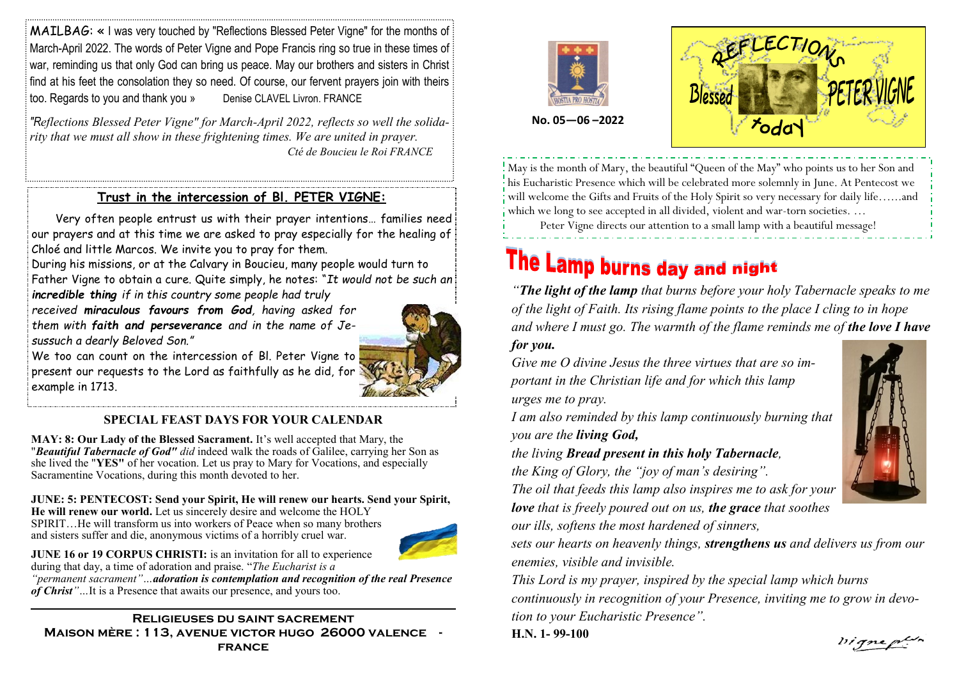MAILBAG: «I was very touched by "Reflections Blessed Peter Vigne" for the months of March-April 2022. The words of Peter Vigne and Pope Francis ring so true in these times of war, reminding us that only God can bring us peace. May our brothers and sisters in Christ: find at his feet the consolation they so need. Of course, our fervent prayers join with theirs too. Regards to you and thank you » Denise CLAVEL Livron. FRANCE

*"Reflections Blessed Peter Vigne" for March-April 2022, reflects so well the solidarity that we must all show in these frightening times. We are united in prayer. Cté de Boucieu le Roi FRANCE*

### **Trust in the intercession of Bl. PETER VIGNE:**

 Very often people entrust us with their prayer intentions… families need our prayers and at this time we are asked to pray especially for the healing of Chloé and little Marcos. We invite you to pray for them.

During his missions, or at the Calvary in Boucieu, many people would turn to Father Vigne to obtain a cure. Quite simply, he notes: "*It would not be such an incredible thing if in this country some people had truly* 

*received miraculous favours from God, having asked for them with faith and perseverance and in the name of Jesussuch a dearly Beloved Son."*

We too can count on the intercession of Bl. Peter Vigne to present our requests to the Lord as faithfully as he did, for example in 1713.

#### **SPECIAL FEAST DAYS FOR YOUR CALENDAR**

**MAY: 8: Our Lady of the Blessed Sacrament.** It's well accepted that Mary, the "*Beautiful Tabernacle of God" did* indeed walk the roads of Galilee, carrying her Son as she lived the "**YES"** of her vocation. Let us pray to Mary for Vocations, and especially Sacramentine Vocations, during this month devoted to her.

### **JUNE: 5: PENTECOST: Send your Spirit, He will renew our hearts. Send your Spirit,**

**He will renew our world.** Let us sincerely desire and welcome the HOLY SPIRIT…He will transform us into workers of Peace when so many brothers and sisters suffer and die, anonymous victims of a horribly cruel war.



**JUNE 16 or 19 CORPUS CHRISTI:** is an invitation for all to experience during that day, a time of adoration and praise. "*The Eucharist is a* 

*"permanent sacrament"…adoration is contemplation and recognition of the real Presence of Christ"…*It is a Presence that awaits our presence, and yours too.

**Religieuses du saint sacrement Maison mère : 113, avenue victor hugo 26000 valence france**





**No. 05—06 –2022**

May is the month of Mary, the beautiful "Queen of the May" who points us to her Son and his Eucharistic Presence which will be celebrated more solemnly in June. At Pentecost we will welcome the Gifts and Fruits of the Holy Spirit so very necessary for daily life…...and which we long to see accepted in all divided, violent and war-torn societies. ...

Peter Vigne directs our attention to a small lamp with a beautiful message!

# The Lamp burns day and night

*"The light of the lamp that burns before your holy Tabernacle speaks to me of the light of Faith. Its rising flame points to the place I cling to in hope and where I must go. The warmth of the flame reminds me of the love I have for you.* 

*Give me O divine Jesus the three virtues that are so important in the Christian life and for which this lamp* 

*urges me to pray.* 

*I am also reminded by this lamp continuously burning that you are the living God,* 

*the living Bread present in this holy Tabernacle,* 

*the King of Glory, the "joy of man's desiring".* 

*The oil that feeds this lamp also inspires me to ask for your love that is freely poured out on us, the grace that soothes* 

*our ills, softens the most hardened of sinners,* 

*sets our hearts on heavenly things, strengthens us and delivers us from our enemies, visible and invisible.* 

*This Lord is my prayer, inspired by the special lamp which burns continuously in recognition of your Presence, inviting me to grow in devotion to your Eucharistic Presence".*

**H.N. 1- 99-100**